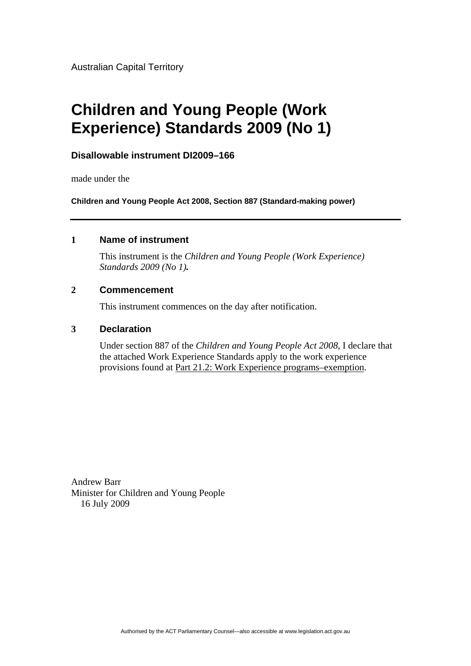Australian Capital Territory

# **Children and Young People (Work Experience) Standards 2009 (No 1)**

# **Disallowable instrument DI2009–166**

made under the

**Children and Young People Act 2008, Section 887 (Standard-making power)**

## **1 Name of instrument**

This instrument is the *Children and Young People (Work Experience) Standards 2009 (No 1).*

## **2 Commencement**

This instrument commences on the day after notification.

## **3 Declaration**

Under section 887 of the *Children and Young People Act 2008*, I declare that the attached Work Experience Standards apply to the work experience provisions found at Part 21.2: Work Experience programs–exemption.

Andrew Barr Minister for Children and Young People 16 July 2009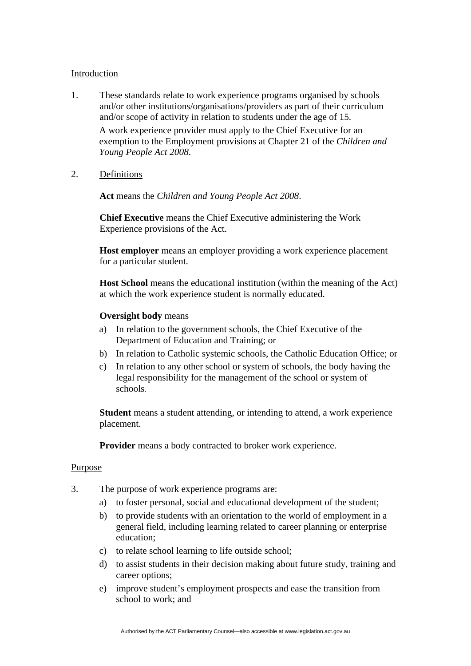#### Introduction

1. These standards relate to work experience programs organised by schools and/or other institutions/organisations/providers as part of their curriculum and/or scope of activity in relation to students under the age of 15.

A work experience provider must apply to the Chief Executive for an exemption to the Employment provisions at Chapter 21 of the *Children and Young People Act 2008*.

2. Definitions

**Act** means the *Children and Young People Act 2008*.

**Chief Executive** means the Chief Executive administering the Work Experience provisions of the Act.

**Host employer** means an employer providing a work experience placement for a particular student.

**Host School** means the educational institution (within the meaning of the Act) at which the work experience student is normally educated.

#### **Oversight body** means

- a) In relation to the government schools, the Chief Executive of the Department of Education and Training; or
- b) In relation to Catholic systemic schools, the Catholic Education Office; or
- c) In relation to any other school or system of schools, the body having the legal responsibility for the management of the school or system of schools.

**Student** means a student attending, or intending to attend, a work experience placement.

**Provider** means a body contracted to broker work experience.

#### Purpose

- 3. The purpose of work experience programs are:
	- a) to foster personal, social and educational development of the student;
	- b) to provide students with an orientation to the world of employment in a general field, including learning related to career planning or enterprise education;
	- c) to relate school learning to life outside school;
	- d) to assist students in their decision making about future study, training and career options;
	- e) improve student's employment prospects and ease the transition from school to work; and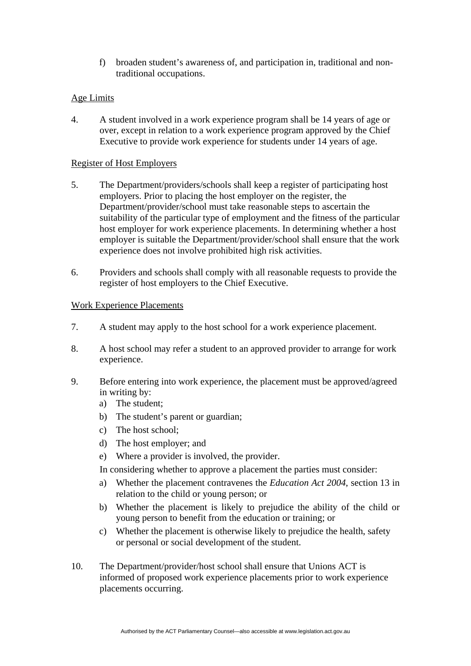f) broaden student's awareness of, and participation in, traditional and nontraditional occupations.

## Age Limits

4. A student involved in a work experience program shall be 14 years of age or over, except in relation to a work experience program approved by the Chief Executive to provide work experience for students under 14 years of age.

## Register of Host Employers

- 5. The Department/providers/schools shall keep a register of participating host employers. Prior to placing the host employer on the register, the Department/provider/school must take reasonable steps to ascertain the suitability of the particular type of employment and the fitness of the particular host employer for work experience placements. In determining whether a host employer is suitable the Department/provider/school shall ensure that the work experience does not involve prohibited high risk activities.
- 6. Providers and schools shall comply with all reasonable requests to provide the register of host employers to the Chief Executive.

## Work Experience Placements

- 7. A student may apply to the host school for a work experience placement.
- 8. A host school may refer a student to an approved provider to arrange for work experience.
- 9. Before entering into work experience, the placement must be approved/agreed in writing by:
	- a) The student;
	- b) The student's parent or guardian;
	- c) The host school;
	- d) The host employer; and
	- e) Where a provider is involved, the provider.
	- In considering whether to approve a placement the parties must consider:
	- a) Whether the placement contravenes the *Education Act 2004*, section 13 in relation to the child or young person; or
	- b) Whether the placement is likely to prejudice the ability of the child or young person to benefit from the education or training; or
	- c) Whether the placement is otherwise likely to prejudice the health, safety or personal or social development of the student.
- 10. The Department/provider/host school shall ensure that Unions ACT is informed of proposed work experience placements prior to work experience placements occurring.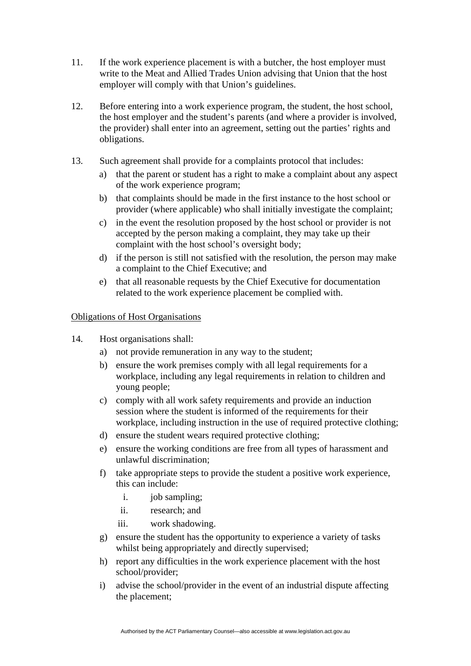- 11. If the work experience placement is with a butcher, the host employer must write to the Meat and Allied Trades Union advising that Union that the host employer will comply with that Union's guidelines.
- 12. Before entering into a work experience program, the student, the host school, the host employer and the student's parents (and where a provider is involved, the provider) shall enter into an agreement, setting out the parties' rights and obligations.
- 13. Such agreement shall provide for a complaints protocol that includes:
	- a) that the parent or student has a right to make a complaint about any aspect of the work experience program;
	- b) that complaints should be made in the first instance to the host school or provider (where applicable) who shall initially investigate the complaint;
	- c) in the event the resolution proposed by the host school or provider is not accepted by the person making a complaint, they may take up their complaint with the host school's oversight body;
	- d) if the person is still not satisfied with the resolution, the person may make a complaint to the Chief Executive; and
	- e) that all reasonable requests by the Chief Executive for documentation related to the work experience placement be complied with.

# Obligations of Host Organisations

- 14. Host organisations shall:
	- a) not provide remuneration in any way to the student;
	- b) ensure the work premises comply with all legal requirements for a workplace, including any legal requirements in relation to children and young people;
	- c) comply with all work safety requirements and provide an induction session where the student is informed of the requirements for their workplace, including instruction in the use of required protective clothing;
	- d) ensure the student wears required protective clothing;
	- e) ensure the working conditions are free from all types of harassment and unlawful discrimination;
	- f) take appropriate steps to provide the student a positive work experience, this can include:
		- i. job sampling;
		- ii. research; and
		- iii. work shadowing.
	- g) ensure the student has the opportunity to experience a variety of tasks whilst being appropriately and directly supervised;
	- h) report any difficulties in the work experience placement with the host school/provider;
	- i) advise the school/provider in the event of an industrial dispute affecting the placement;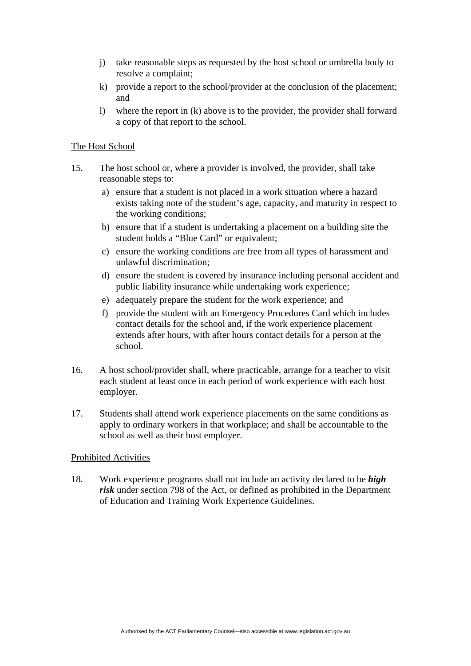- j) take reasonable steps as requested by the host school or umbrella body to resolve a complaint;
- k) provide a report to the school/provider at the conclusion of the placement; and
- l) where the report in (k) above is to the provider, the provider shall forward a copy of that report to the school.

#### The Host School

- 15. The host school or, where a provider is involved, the provider, shall take reasonable steps to:
	- a) ensure that a student is not placed in a work situation where a hazard exists taking note of the student's age, capacity, and maturity in respect to the working conditions;
	- b) ensure that if a student is undertaking a placement on a building site the student holds a "Blue Card" or equivalent;
	- c) ensure the working conditions are free from all types of harassment and unlawful discrimination;
	- d) ensure the student is covered by insurance including personal accident and public liability insurance while undertaking work experience;
	- e) adequately prepare the student for the work experience; and
	- f) provide the student with an Emergency Procedures Card which includes contact details for the school and, if the work experience placement extends after hours, with after hours contact details for a person at the school.
- 16. A host school/provider shall, where practicable, arrange for a teacher to visit each student at least once in each period of work experience with each host employer.
- 17. Students shall attend work experience placements on the same conditions as apply to ordinary workers in that workplace; and shall be accountable to the school as well as their host employer.

## Prohibited Activities

18. Work experience programs shall not include an activity declared to be *high risk* under section 798 of the Act, or defined as prohibited in the Department of Education and Training Work Experience Guidelines.